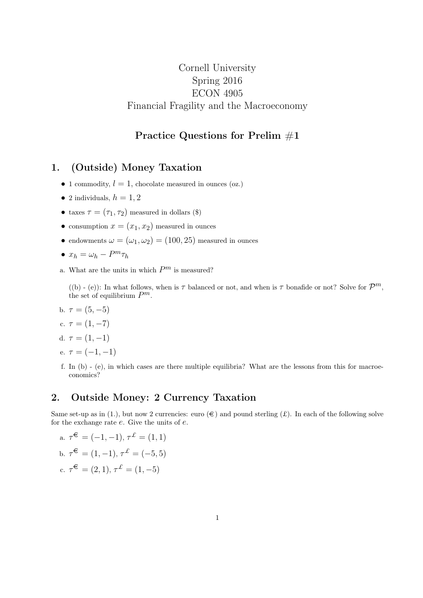## Cornell University Spring 2016 ECON 4905 Financial Fragility and the Macroeconomy

### Practice Questions for Prelim #1

#### 1. (Outside) Money Taxation

- 1 commodity,  $l = 1$ , chocolate measured in ounces (oz.)
- 2 individuals,  $h = 1, 2$
- taxes  $\tau = (\tau_1, \tau_2)$  measured in dollars (\$)
- consumption  $x = (x_1, x_2)$  measured in ounces
- endowments  $\omega = (\omega_1, \omega_2) = (100, 25)$  measured in ounces

• 
$$
x_h = \omega_h - P^m \tau_h
$$

a. What are the units in which  $P^m$  is measured?

((b) - (e)): In what follows, when is  $\tau$  balanced or not, and when is  $\tau$  bonafide or not? Solve for  $\mathcal{P}^m$ , the set of equilibrium  $P^m$ .

b.  $\tau = (5, -5)$ 

$$
c. \ \tau=(1,-7)
$$

d. 
$$
\tau = (1, -1)
$$

- e.  $\tau = (-1, -1)$
- f. In (b) (e), in which cases are there multiple equilibria? What are the lessons from this for macroeconomics?

#### 2. Outside Money: 2 Currency Taxation

Same set-up as in (1.), but now 2 currencies: euro  $(\epsilon)$  and pound sterling  $(\mathcal{L})$ . In each of the following solve for the exchange rate  $e$ . Give the units of  $e$ .

a. 
$$
\tau^{\mathfrak{E}} = (-1, -1), \tau^{\mathfrak{L}} = (1, 1)
$$
  
\nb.  $\tau^{\mathfrak{E}} = (1, -1), \tau^{\mathfrak{L}} = (-5, 5)$   
\nc.  $\tau^{\mathfrak{E}} = (2, 1), \tau^{\mathfrak{L}} = (1, -5)$